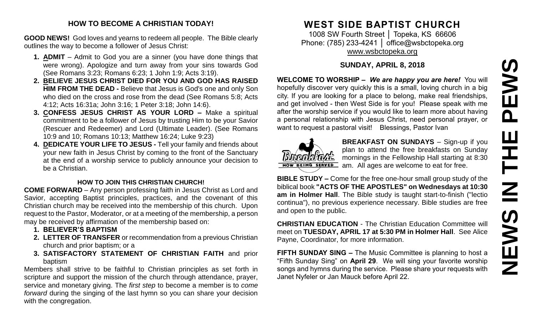# **NEWS IN THE PEWS**PEWS Ш IH<br>N<br>N<br>N **SMENE**

### **HOW TO BECOME A CHRISTIAN TODAY!**

**GOOD NEWS!** God loves and yearns to redeem all people. The Bible clearly outlines the way to become a follower of Jesus Christ:

- **1. ADMIT** Admit to God you are a sinner (you have done things that were wrong). Apologize and turn away from your sins towards God (See Romans 3:23; Romans 6:23; 1 John 1:9; Acts 3:19).
- **2. BELIEVE JESUS CHRIST DIED FOR YOU AND GOD HAS RAISED HIM FROM THE DEAD -** Believe that Jesus is God's one and only Son who died on the cross and rose from the dead (See Romans 5:8; Acts 4:12; Acts 16:31a; John 3:16; 1 Peter 3:18; John 14:6).
- **3. CONFESS JESUS CHRIST AS YOUR LORD –** Make a spiritual commitment to be a follower of Jesus by trusting Him to be your Savior (Rescuer and Redeemer) and Lord (Ultimate Leader). (See Romans 10:9 and 10; Romans 10:13; Matthew 16:24; Luke 9:23)
- **4. DEDICATE YOUR LIFE TO JESUS -** Tell your family and friends about your new faith in Jesus Christ by coming to the front of the Sanctuary at the end of a worship service to publicly announce your decision to be a Christian.

### **HOW TO JOIN THIS CHRISTIAN CHURCH!**

**COME FORWARD** – Any person professing faith in Jesus Christ as Lord and Savior, accepting Baptist principles, practices, and the covenant of this Christian church may be received into the membership of this church. Upon request to the Pastor, Moderator, or at a meeting of the membership, a person may be received by affirmation of the membership based on:

- **1. BELIEVER'S BAPTISM**
- **2. LETTER OF TRANSFER** or recommendation from a previous Christian church and prior baptism; or a
- **3. SATISFACTORY STATEMENT OF CHRISTIAN FAITH** and prior baptism

Members shall strive to be faithful to Christian principles as set forth in scripture and support the mission of the church through attendance, prayer, service and monetary giving. The *first step* to become a member is to *come forward* during the singing of the last hymn so you can share your decision with the congregation.

# **WEST SIDE BAPTIST CHURCH**

1008 SW Fourth Street │ Topeka, KS 66606 Phone: (785) 233-4241 | [office@wsbctopeka.org](mailto:office@wsbctopeka.org) [www.wsbctopeka.org](http://www.wsbctopeka.org/)

# **SUNDAY, APRIL 8, 2018**

**WELCOME TO WORSHIP –** *We are happy you are here!* You will hopefully discover very quickly this is a small, loving church in a big city. If you are looking for a place to belong, make real friendships, and get involved - then West Side is for you! Please speak with me after the worship service if you would like to learn more about having a personal relationship with Jesus Christ, need personal prayer, or want to request a pastoral visit! Blessings, Pastor Ivan



**BREAKFAST ON SUNDAYS** – Sign-up if you plan to attend the free breakfasts on Sunday mornings in the Fellowship Hall starting at 8:30 am. All ages are welcome to eat for free.

**BIBLE STUDY –** Come for the free one-hour small group study of the biblical book **"ACTS OF THE APOSTLES" on Wednesdays at 10:30 am in Holmer Hall**. The Bible study is taught start-to-finish ("lectio continua"), no previous experience necessary. Bible studies are free and open to the public.

**CHRISTIAN EDUCATION** - The Christian Education Committee will meet on **TUESDAY, APRIL 17 at 5:30 PM in Holmer Hall**. See Alice Payne, Coordinator, for more information.

**FIFTH SUNDAY SING –** The Music Committee is planning to host a "Fifth Sunday Sing" on **April 29**. We will sing your favorite worship songs and hymns during the service. Please share your requests with Janet Nyfeler or Jan Mauck before April 22.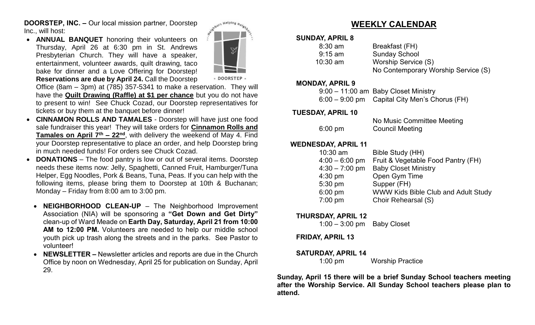**DOORSTEP, INC. –** Our local mission partner, Doorstep Inc., will host:

• **ANNUAL BANQUET** honoring their volunteers on Thursday, April 26 at 6:30 pm in St. Andrews Presbyterian Church. They will have a speaker, entertainment, volunteer awards, quilt drawing, taco bake for dinner and a Love Offering for Doorstep! **Reservations are due by April 24.** Call the Doorstep



· DOORSTEP

Office (8am – 3pm) at (785) 357-5341 to make a reservation. They will have the **Quilt Drawing (Raffle) at \$1 per chance** but you do not have to present to win! See Chuck Cozad, our Doorstep representatives for tickets or buy them at the banquet before dinner!

- **CINNAMON ROLLS AND TAMALES**  Doorstep will have just one food sale fundraiser this year! They will take orders for **Cinnamon Rolls and Tamales on April 7th – 22nd**, with delivery the weekend of May 4. Find your Doorstep representative to place an order, and help Doorstep bring in much needed funds! For orders see Chuck Cozad.
- **DONATIONS**  The food pantry is low or out of several items. Doorstep needs these items now: Jelly, Spaghetti, Canned Fruit, Hamburger/Tuna Helper, Egg Noodles, Pork & Beans, Tuna, Peas. If you can help with the following items, please bring them to Doorstep at 10th & Buchanan; Monday – Friday from 8:00 am to 3:00 pm.
	- **NEIGHBORHOOD CLEAN-UP**  The Neighborhood Improvement Association (NIA) will be sponsoring a **"Get Down and Get Dirty"** clean-up of Ward Meade on **Earth Day, Saturday, April 21 from 10:00 AM to 12:00 PM.** Volunteers are needed to help our middle school youth pick up trash along the streets and in the parks. See Pastor to volunteer!
	- **NEWSLETTER –** Newsletter articles and reports are due in the Church Office by noon on Wednesday, April 25 for publication on Sunday, April 29.

# **WEEKLY CALENDAR**

### **SUNDAY, APRIL 8**

| $8:30$ am  | Breakfast (FH)                      |
|------------|-------------------------------------|
| $9:15$ am  | <b>Sunday School</b>                |
| $10:30$ am | Worship Service (S)                 |
|            | No Contemporary Worship Service (S) |

### **MONDAY, APRIL 9**

| 9:00 - 11:00 am Baby Closet Ministry          |
|-----------------------------------------------|
| 6:00 – 9:00 pm Capital City Men's Chorus (FH) |

### **TUESDAY, APRIL 10**

|                   | No Music Committee Meeting |
|-------------------|----------------------------|
| $6:00 \text{ pm}$ | <b>Council Meeting</b>     |

### **WEDNESDAY, APRIL 11**

| $10:30$ am       | Bible Study (HH)                    |
|------------------|-------------------------------------|
| $4:00 - 6:00$ pm | Fruit & Vegetable Food Pantry (FH)  |
| $4:30 - 7:00$ pm | <b>Baby Closet Ministry</b>         |
| $4:30$ pm        | Open Gym Time                       |
| 5:30 pm          | Supper (FH)                         |
| 6:00 pm          | WWW Kids Bible Club and Adult Study |
| 7:00 pm          | Choir Rehearsal (S)                 |
|                  |                                     |

### **THURSDAY, APRIL 12**

1:00 – 3:00 pm Baby Closet

**FRIDAY, APRIL 13**

### **SATURDAY, APRIL 14**

1:00 pmWorship Practice

**Sunday, April 15 there will be a brief Sunday School teachers meeting after the Worship Service. All Sunday School teachers please plan to attend.**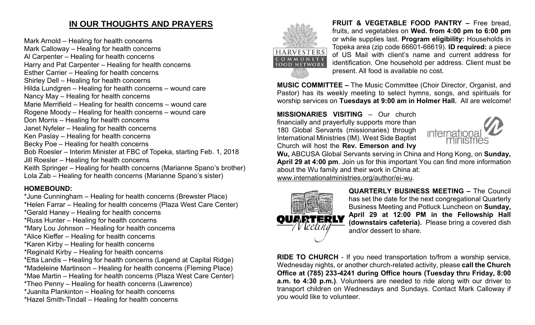# **IN OUR THOUGHTS AND PRAYERS**

Mark Arnold – Healing for health concerns Mark Calloway – Healing for health concerns Al Carpenter – Healing for health concerns Harry and Pat Carpenter – Healing for health concerns Esther Carrier – Healing for health concerns Shirley Dell – Healing for health concerns Hilda Lundgren – Healing for health concerns – wound care Nancy May – Healing for health concerns Marie Merrifield – Healing for health concerns – wound care Rogene Moody – Healing for health concerns – wound care Don Morris – Healing for health concerns Janet Nyfeler – Healing for health concerns Ken Paslay – Healing for health concerns Becky Poe – Healing for health concerns Bob Roesler – Interim Minister at FBC of Topeka, starting Feb. 1, 2018 Jill Roesler – Healing for health concerns Keith Springer – Healing for health concerns (Marianne Spano's brother) Lola Zab – Healing for health concerns (Marianne Spano's sister)

# **HOMEBOUND:**

- \*June Cunningham Healing for health concerns (Brewster Place) \*Helen Farrar – Healing for health concerns (Plaza West Care Center)
- \*Gerald Haney Healing for health concerns
- \*Russ Hunter Healing for health concerns
- \*Mary Lou Johnson Healing for health concerns
- \*Alice Kieffer Healing for health concerns
- \*Karen Kirby Healing for health concerns
- \*Reginald Kirby Healing for health concerns
- \*Etta Landis Healing for health concerns (Legend at Capital Ridge)
- \*Madeleine Martinson Healing for health concerns (Fleming Place)
- \*Mae Martin Healing for health concerns (Plaza West Care Center)
- \*Theo Penny Healing for health concerns (Lawrence)
- \*Juanita Plankinton Healing for health concerns
- \*Hazel Smith-Tindall Healing for health concerns



**FRUIT & VEGETABLE FOOD PANTRY –** Free bread, fruits, and vegetables on **Wed. from 4:00 pm to 6:00 pm**  or while supplies last. **Program eligibility:** Households in Topeka area (zip code 66601-66619). **ID required:** a piece of US Mail with client's name and current address for identification. One household per address. Client must be present. All food is available no cost.

**MUSIC COMMITTEE –** The Music Committee (Choir Director, Organist, and Pastor) has its weekly meeting to select hymns, songs, and spirituals for worship services on **Tuesdays at 9:00 am in Holmer Hall.** All are welcome!

**MISSIONARIES VISITING** – Our church financially and prayerfully supports more than 180 Global Servants (missionaries) through International Ministries (IM). West Side Baptist Church will host the **Rev. Emerson and Ivy** 



**Wu,** ABCUSA Global Servants serving in China and Hong Kong, on **Sunday, April 29 at 4:00 pm**. Join us for this important You can find more information about the Wu family and their work in China at: [www.internationalministries.org/author/ei-wu.](http://www.internationalministries.org/author/ei-wu)



**QUARTERLY BUSINESS MEETING –** The Council has set the date for the next congregational Quarterly Business Meeting and Potluck Luncheon on **Sunday, April 29 at 12:00 PM in the Fellowship Hall (downstairs cafeteria).** Please bring a covered dish and/or dessert to share.

**RIDE TO CHURCH** - If you need transportation to/from a worship service, Wednesday nights, or another church-related activity, please **call the Church Office at (785) 233-4241 during Office hours (Tuesday thru Friday, 8:00 a.m. to 4:30 p.m.)**. Volunteers are needed to ride along with our driver to transport children on Wednesdays and Sundays. Contact Mark Calloway if you would like to volunteer.